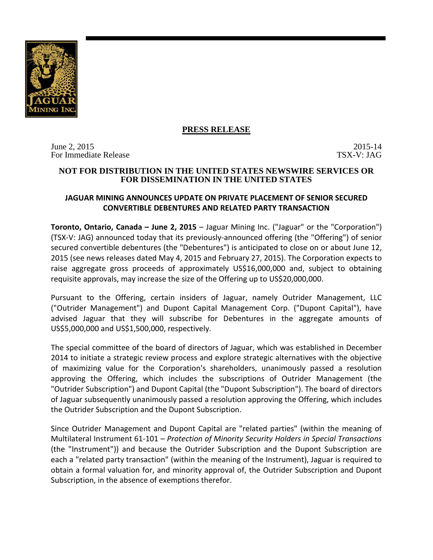

## **PRESS RELEASE**

June 2, 2015<br>For Immediate Release 2015 2015 2015 For Immediate Release

#### **NOT FOR DISTRIBUTION IN THE UNITED STATES NEWSWIRE SERVICES OR FOR DISSEMINATION IN THE UNITED STATES**

# **JAGUAR MINING ANNOUNCES UPDATE ON PRIVATE PLACEMENT OF SENIOR SECURED CONVERTIBLE DEBENTURES AND RELATED PARTY TRANSACTION**

**Toronto, Ontario, Canada – June 2, 2015** – Jaguar Mining Inc. ("Jaguar" or the "Corporation") (TSX-V: JAG) announced today that its previously-announced offering (the "Offering") of senior secured convertible debentures (the "Debentures") is anticipated to close on or about June 12, 2015 (see news releases dated May 4, 2015 and February 27, 2015). The Corporation expects to raise aggregate gross proceeds of approximately US\$16,000,000 and, subject to obtaining requisite approvals, may increase the size of the Offering up to US\$20,000,000.

Pursuant to the Offering, certain insiders of Jaguar, namely Outrider Management, LLC ("Outrider Management") and Dupont Capital Management Corp. ("Dupont Capital"), have advised Jaguar that they will subscribe for Debentures in the aggregate amounts of US\$5,000,000 and US\$1,500,000, respectively.

The special committee of the board of directors of Jaguar, which was established in December 2014 to initiate a strategic review process and explore strategic alternatives with the objective of maximizing value for the Corporation's shareholders, unanimously passed a resolution approving the Offering, which includes the subscriptions of Outrider Management (the "Outrider Subscription") and Dupont Capital (the "Dupont Subscription"). The board of directors of Jaguar subsequently unanimously passed a resolution approving the Offering, which includes the Outrider Subscription and the Dupont Subscription.

Since Outrider Management and Dupont Capital are "related parties" (within the meaning of Multilateral Instrument 61-101 – *Protection of Minority Security Holders in Special Transactions* (the "Instrument")) and because the Outrider Subscription and the Dupont Subscription are each a "related party transaction" (within the meaning of the Instrument), Jaguar is required to obtain a formal valuation for, and minority approval of, the Outrider Subscription and Dupont Subscription, in the absence of exemptions therefor.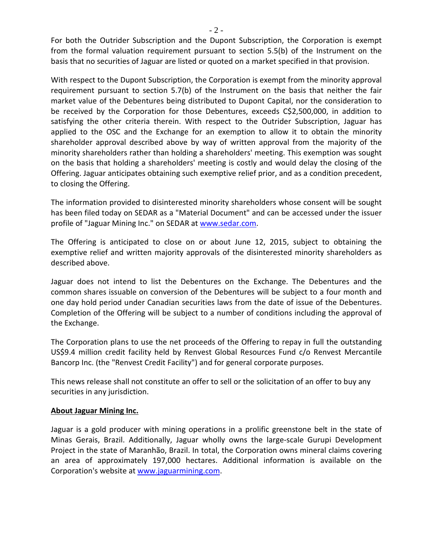For both the Outrider Subscription and the Dupont Subscription, the Corporation is exempt from the formal valuation requirement pursuant to section 5.5(b) of the Instrument on the basis that no securities of Jaguar are listed or quoted on a market specified in that provision.

With respect to the Dupont Subscription, the Corporation is exempt from the minority approval requirement pursuant to section 5.7(b) of the Instrument on the basis that neither the fair market value of the Debentures being distributed to Dupont Capital, nor the consideration to be received by the Corporation for those Debentures, exceeds C\$2,500,000, in addition to satisfying the other criteria therein. With respect to the Outrider Subscription, Jaguar has applied to the OSC and the Exchange for an exemption to allow it to obtain the minority shareholder approval described above by way of written approval from the majority of the minority shareholders rather than holding a shareholders' meeting. This exemption was sought on the basis that holding a shareholders' meeting is costly and would delay the closing of the Offering. Jaguar anticipates obtaining such exemptive relief prior, and as a condition precedent, to closing the Offering.

The information provided to disinterested minority shareholders whose consent will be sought has been filed today on SEDAR as a "Material Document" and can be accessed under the issuer profile of "Jaguar Mining Inc." on SEDAR at [www.sedar.com.](http://www.sedar.com/)

The Offering is anticipated to close on or about June 12, 2015, subject to obtaining the exemptive relief and written majority approvals of the disinterested minority shareholders as described above.

Jaguar does not intend to list the Debentures on the Exchange. The Debentures and the common shares issuable on conversion of the Debentures will be subject to a four month and one day hold period under Canadian securities laws from the date of issue of the Debentures. Completion of the Offering will be subject to a number of conditions including the approval of the Exchange.

The Corporation plans to use the net proceeds of the Offering to repay in full the outstanding US\$9.4 million credit facility held by Renvest Global Resources Fund c/o Renvest Mercantile Bancorp Inc. (the "Renvest Credit Facility") and for general corporate purposes.

This news release shall not constitute an offer to sell or the solicitation of an offer to buy any securities in any jurisdiction.

## **About Jaguar Mining Inc.**

Jaguar is a gold producer with mining operations in a prolific greenstone belt in the state of Minas Gerais, Brazil. Additionally, Jaguar wholly owns the large-scale Gurupi Development Project in the state of Maranhão, Brazil. In total, the Corporation owns mineral claims covering an area of approximately 197,000 hectares. Additional information is available on the Corporation's website at [www.jaguarmining.com.](http://www.jaguarmining.com/)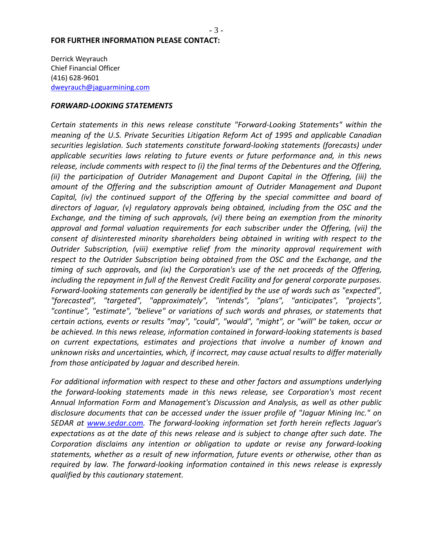#### **FOR FURTHER INFORMATION PLEASE CONTACT:**

Derrick Weyrauch Chief Financial Officer (416) 628-9601 [dweyrauch@jaguarmining.com](mailto:dweyrauch@jaguarmining.com)

#### *FORWARD-LOOKING STATEMENTS*

*Certain statements in this news release constitute "Forward-Looking Statements" within the meaning of the U.S. Private Securities Litigation Reform Act of 1995 and applicable Canadian securities legislation. Such statements constitute forward-looking statements (forecasts) under applicable securities laws relating to future events or future performance and, in this news release, include comments with respect to (i) the final terms of the Debentures and the Offering, (ii) the participation of Outrider Management and Dupont Capital in the Offering, (iii) the amount of the Offering and the subscription amount of Outrider Management and Dupont Capital, (iv) the continued support of the Offering by the special committee and board of directors of Jaguar, (v) regulatory approvals being obtained, including from the OSC and the Exchange, and the timing of such approvals, (vi) there being an exemption from the minority approval and formal valuation requirements for each subscriber under the Offering, (vii) the consent of disinterested minority shareholders being obtained in writing with respect to the Outrider Subscription, (viii) exemptive relief from the minority approval requirement with respect to the Outrider Subscription being obtained from the OSC and the Exchange, and the timing of such approvals, and (ix) the Corporation's use of the net proceeds of the Offering, including the repayment in full of the Renvest Credit Facility and for general corporate purposes. Forward-looking statements can generally be identified by the use of words such as "expected", "forecasted", "targeted", "approximately", "intends", "plans", "anticipates", "projects", "continue", "estimate", "believe" or variations of such words and phrases, or statements that certain actions, events or results "may", "could", "would", "might", or "will" be taken, occur or be achieved. In this news release, information contained in forward-looking statements is based on current expectations, estimates and projections that involve a number of known and unknown risks and uncertainties, which, if incorrect, may cause actual results to differ materially from those anticipated by Jaguar and described herein.* 

*For additional information with respect to these and other factors and assumptions underlying the forward-looking statements made in this news release, see Corporation's most recent Annual Information Form and Management's Discussion and Analysis, as well as other public disclosure documents that can be accessed under the issuer profile of "Jaguar Mining Inc." on SEDAR at [www.sedar.com.](http://www.sedar.com/) The forward-looking information set forth herein reflects Jaguar's expectations as at the date of this news release and is subject to change after such date. The Corporation disclaims any intention or obligation to update or revise any forward-looking statements, whether as a result of new information, future events or otherwise, other than as required by law. The forward-looking information contained in this news release is expressly qualified by this cautionary statement.*